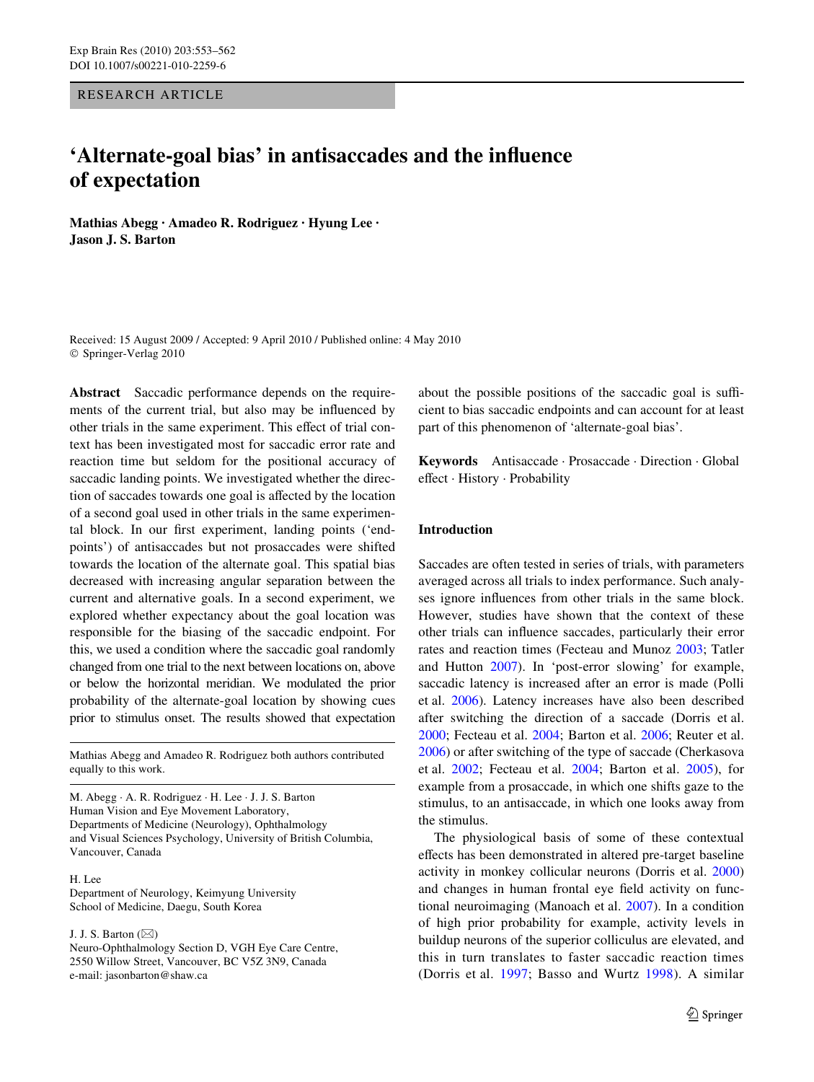RESEARCH ARTICLE

# **'Alternate-goal bias' in antisaccades and the influence of expectation**

**Mathias Abegg · Amadeo R. Rodriguez · Hyung Lee · Jason J. S. Barton** 

Received: 15 August 2009 / Accepted: 9 April 2010 / Published online: 4 May 2010 © Springer-Verlag 2010

**Abstract** Saccadic performance depends on the requirements of the current trial, but also may be influenced by other trials in the same experiment. This effect of trial context has been investigated most for saccadic error rate and reaction time but seldom for the positional accuracy of saccadic landing points. We investigated whether the direction of saccades towards one goal is affected by the location of a second goal used in other trials in the same experimental block. In our first experiment, landing points ('endpoints') of antisaccades but not prosaccades were shifted towards the location of the alternate goal. This spatial bias decreased with increasing angular separation between the current and alternative goals. In a second experiment, we explored whether expectancy about the goal location was responsible for the biasing of the saccadic endpoint. For this, we used a condition where the saccadic goal randomly changed from one trial to the next between locations on, above or below the horizontal meridian. We modulated the prior probability of the alternate-goal location by showing cues prior to stimulus onset. The results showed that expectation

Mathias Abegg and Amadeo R. Rodriguez both authors contributed equally to this work.

M. Abegg · A. R. Rodriguez · H. Lee · J. J. S. Barton Human Vision and Eye Movement Laboratory, Departments of Medicine (Neurology), Ophthalmology and Visual Sciences Psychology, University of British Columbia, Vancouver, Canada

#### $H$  Lee

Department of Neurology, Keimyung University School of Medicine, Daegu, South Korea

J. J. S. Barton  $(\boxtimes)$ 

Neuro-Ophthalmology Section D, VGH Eye Care Centre, 2550 Willow Street, Vancouver, BC V5Z 3N9, Canada e-mail: jasonbarton@shaw.ca

about the possible positions of the saccadic goal is sufficient to bias saccadic endpoints and can account for at least part of this phenomenon of 'alternate-goal bias'.

**Keywords** Antisaccade · Prosaccade · Direction · Global effect · History · Probability

## **Introduction**

Saccades are often tested in series of trials, with parameters averaged across all trials to index performance. Such analyses ignore influences from other trials in the same block. However, studies have shown that the context of these other trials can influence saccades, particularly their error rates and reaction times (Fecteau and Munoz [2003](#page-9-0); Tatler and Hutton [2007\)](#page-9-1). In 'post-error slowing' for example, saccadic latency is increased after an error is made (Polli et al. [2006](#page-9-2)). Latency increases have also been described after switching the direction of a saccade (Dorris et al. [2000](#page-9-3); Fecteau et al. [2004](#page-9-4); Barton et al. [2006;](#page-9-5) Reuter et al. [2006](#page-9-6)) or after switching of the type of saccade (Cherkasova et al. [2002](#page-9-7); Fecteau et al. [2004](#page-9-4); Barton et al. [2005\)](#page-9-8), for example from a prosaccade, in which one shifts gaze to the stimulus, to an antisaccade, in which one looks away from the stimulus.

The physiological basis of some of these contextual effects has been demonstrated in altered pre-target baseline activity in monkey collicular neurons (Dorris et al. [2000\)](#page-9-3) and changes in human frontal eye field activity on functional neuroimaging (Manoach et al. [2007\)](#page-9-9). In a condition of high prior probability for example, activity levels in buildup neurons of the superior colliculus are elevated, and this in turn translates to faster saccadic reaction times (Dorris et al. [1997](#page-9-10); Basso and Wurtz [1998\)](#page-9-11). A similar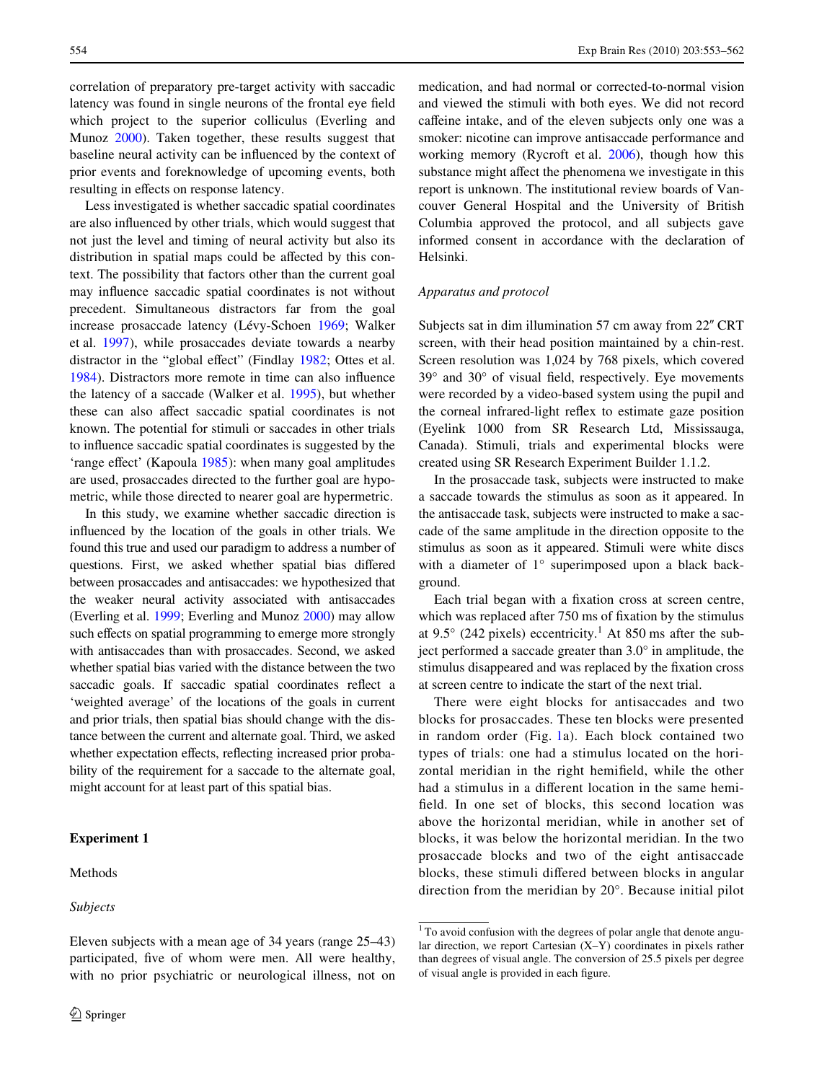correlation of preparatory pre-target activity with saccadic latency was found in single neurons of the frontal eye field which project to the superior colliculus (Everling and Munoz [2000\)](#page-9-12). Taken together, these results suggest that baseline neural activity can be influenced by the context of prior events and foreknowledge of upcoming events, both resulting in effects on response latency.

Less investigated is whether saccadic spatial coordinates are also influenced by other trials, which would suggest that not just the level and timing of neural activity but also its distribution in spatial maps could be affected by this context. The possibility that factors other than the current goal may influence saccadic spatial coordinates is not without precedent. Simultaneous distractors far from the goal increase prosaccade latency (Lévy-Schoen [1969](#page-9-13); Walker et al. [1997\)](#page-9-14), while prosaccades deviate towards a nearby distractor in the "global effect" (Findlay [1982;](#page-9-15) Ottes et al. [1984](#page-9-16)). Distractors more remote in time can also influence the latency of a saccade (Walker et al. [1995\)](#page-9-17), but whether these can also affect saccadic spatial coordinates is not known. The potential for stimuli or saccades in other trials to influence saccadic spatial coordinates is suggested by the 'range effect' (Kapoula [1985](#page-9-18)): when many goal amplitudes are used, prosaccades directed to the further goal are hypometric, while those directed to nearer goal are hypermetric.

In this study, we examine whether saccadic direction is influenced by the location of the goals in other trials. We found this true and used our paradigm to address a number of questions. First, we asked whether spatial bias differed between prosaccades and antisaccades: we hypothesized that the weaker neural activity associated with antisaccades (Everling et al. [1999;](#page-9-19) Everling and Munoz [2000](#page-9-12)) may allow such effects on spatial programming to emerge more strongly with antisaccades than with prosaccades. Second, we asked whether spatial bias varied with the distance between the two saccadic goals. If saccadic spatial coordinates reflect a 'weighted average' of the locations of the goals in current and prior trials, then spatial bias should change with the distance between the current and alternate goal. Third, we asked whether expectation effects, reflecting increased prior probability of the requirement for a saccade to the alternate goal, might account for at least part of this spatial bias.

#### **Experiment 1**

# Methods

#### *Subjects*

medication, and had normal or corrected-to-normal vision and viewed the stimuli with both eyes. We did not record caffeine intake, and of the eleven subjects only one was a smoker: nicotine can improve antisaccade performance and working memory (Rycroft et al. [2006\)](#page-9-20), though how this substance might affect the phenomena we investigate in this report is unknown. The institutional review boards of Vancouver General Hospital and the University of British Columbia approved the protocol, and all subjects gave informed consent in accordance with the declaration of Helsinki.

# *Apparatus and protocol*

Subjects sat in dim illumination 57 cm away from 22" CRT screen, with their head position maintained by a chin-rest. Screen resolution was 1,024 by 768 pixels, which covered  $39^{\circ}$  and  $30^{\circ}$  of visual field, respectively. Eye movements were recorded by a video-based system using the pupil and the corneal infrared-light reflex to estimate gaze position (Eyelink 1000 from SR Research Ltd, Mississauga, Canada). Stimuli, trials and experimental blocks were created using SR Research Experiment Builder 1.1.2.

In the prosaccade task, subjects were instructed to make a saccade towards the stimulus as soon as it appeared. In the antisaccade task, subjects were instructed to make a saccade of the same amplitude in the direction opposite to the stimulus as soon as it appeared. Stimuli were white discs with a diameter of 1° superimposed upon a black background.

Each trial began with a fixation cross at screen centre, which was replaced after 750 ms of fixation by the stimulus at 9.5 $\degree$  (242 pixels) eccentricity.<sup>1</sup> At 850 ms after the subject performed a saccade greater than 3.0° in amplitude, the stimulus disappeared and was replaced by the fixation cross at screen centre to indicate the start of the next trial.

There were eight blocks for antisaccades and two blocks for prosaccades. These ten blocks were presented in random order (Fig. [1a](#page-2-0)). Each block contained two types of trials: one had a stimulus located on the horizontal meridian in the right hemifield, while the other had a stimulus in a different location in the same hemifield. In one set of blocks, this second location was above the horizontal meridian, while in another set of blocks, it was below the horizontal meridian. In the two prosaccade blocks and two of the eight antisaccade blocks, these stimuli differed between blocks in angular direction from the meridian by 20°. Because initial pilot

Eleven subjects with a mean age of 34 years (range 25–43) participated, five of whom were men. All were healthy, with no prior psychiatric or neurological illness, not on

 $1$ <sup>1</sup> To avoid confusion with the degrees of polar angle that denote angular direction, we report Cartesian (X–Y) coordinates in pixels rather than degrees of visual angle. The conversion of 25.5 pixels per degree of visual angle is provided in each figure.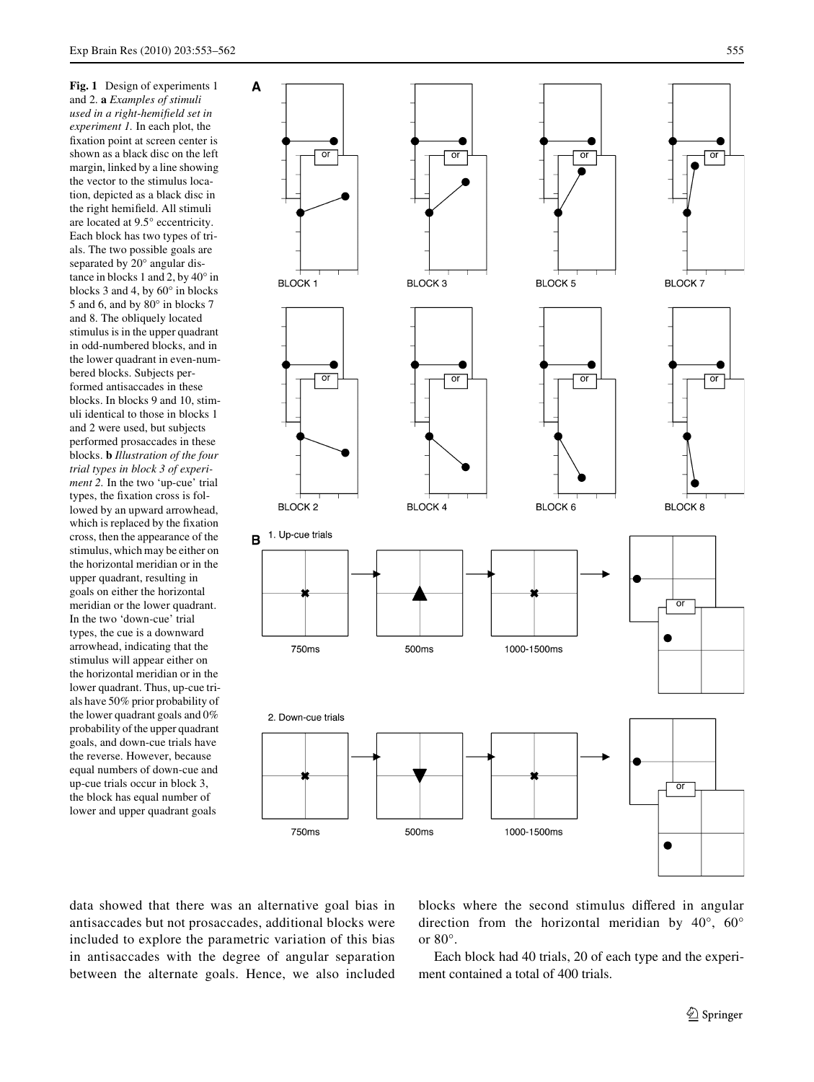<span id="page-2-0"></span>**Fig. 1** Design of experiments 1 and 2. **a** *Examples of stimuli*   $used$  *in a right-hemifield set in experiment 1.* In each plot, the fixation point at screen center is shown as a black disc on the left margin, linked by a line showing the vector to the stimulus location, depicted as a black disc in the right hemifield. All stimuli are located at 9.5° eccentricity. Each block has two types of trials. The two possible goals are separated by 20° angular distance in blocks 1 and 2, by 40° in blocks 3 and 4, by 60° in blocks 5 and 6, and by 80° in blocks 7 and 8. The obliquely located stimulus is in the upper quadrant in odd-numbered blocks, and in the lower quadrant in even-numbered blocks. Subjects performed antisaccades in these blocks. In blocks 9 and 10, stimuli identical to those in blocks 1 and 2 were used, but subjects performed prosaccades in these blocks. **b** *Illustration of the four trial types in block 3 of experiment 2.* In the two 'up-cue' trial types, the fixation cross is followed by an upward arrowhead, which is replaced by the fixation cross, then the appearance of the stimulus, which may be either on the horizontal meridian or in the upper quadrant, resulting in goals on either the horizontal meridian or the lower quadrant. In the two 'down-cue' trial types, the cue is a downward arrowhead, indicating that the stimulus will appear either on the horizontal meridian or in the lower quadrant. Thus, up-cue trials have 50% prior probability of the lower quadrant goals and 0% probability of the upper quadrant goals, and down-cue trials have the reverse. However, because equal numbers of down-cue and up-cue trials occur in block 3, the block has equal number of lower and upper quadrant goals



data showed that there was an alternative goal bias in antisaccades but not prosaccades, additional blocks were included to explore the parametric variation of this bias in antisaccades with the degree of angular separation between the alternate goals. Hence, we also included blocks where the second stimulus differed in angular direction from the horizontal meridian by 40°, 60° or 80°.

Each block had 40 trials, 20 of each type and the experiment contained a total of 400 trials.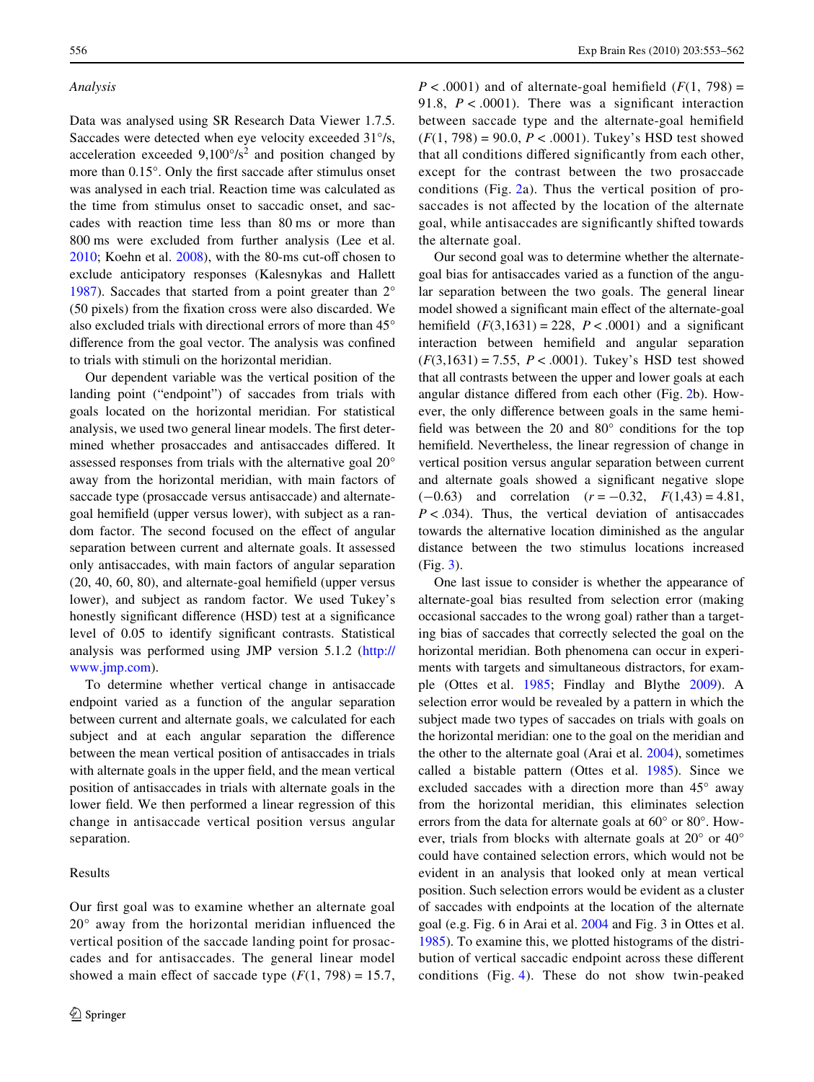## *Analysis*

Data was analysed using SR Research Data Viewer 1.7.5. Saccades were detected when eye velocity exceeded 31°/s, acceleration exceeded  $9,100^{\circ}/s^2$  and position changed by more than  $0.15^{\circ}$ . Only the first saccade after stimulus onset was analysed in each trial. Reaction time was calculated as the time from stimulus onset to saccadic onset, and saccades with reaction time less than 80 ms or more than 800 ms were excluded from further analysis (Lee et al.  $2010$ ; Koehn et al.  $2008$ ), with the 80-ms cut-off chosen to exclude anticipatory responses (Kalesnykas and Hallett [1987](#page-9-23)). Saccades that started from a point greater than 2° (50 pixels) from the fixation cross were also discarded. We also excluded trials with directional errors of more than 45° difference from the goal vector. The analysis was confined to trials with stimuli on the horizontal meridian.

Our dependent variable was the vertical position of the landing point ("endpoint") of saccades from trials with goals located on the horizontal meridian. For statistical analysis, we used two general linear models. The first determined whether prosaccades and antisaccades differed. It assessed responses from trials with the alternative goal 20° away from the horizontal meridian, with main factors of saccade type (prosaccade versus antisaccade) and alternategoal hemifield (upper versus lower), with subject as a random factor. The second focused on the effect of angular separation between current and alternate goals. It assessed only antisaccades, with main factors of angular separation  $(20, 40, 60, 80)$ , and alternate-goal hemifield (upper versus lower), and subject as random factor. We used Tukey's honestly significant difference (HSD) test at a significance level of 0.05 to identify significant contrasts. Statistical analysis was performed using JMP version 5.1.2 [\(http://](http://www.jmp.com) [www.jmp.com](http://www.jmp.com)).

To determine whether vertical change in antisaccade endpoint varied as a function of the angular separation between current and alternate goals, we calculated for each subject and at each angular separation the difference between the mean vertical position of antisaccades in trials with alternate goals in the upper field, and the mean vertical position of antisaccades in trials with alternate goals in the lower field. We then performed a linear regression of this change in antisaccade vertical position versus angular separation.

## Results

Our first goal was to examine whether an alternate goal  $20^{\circ}$  away from the horizontal meridian influenced the vertical position of the saccade landing point for prosaccades and for antisaccades. The general linear model showed a main effect of saccade type  $(F(1, 798) = 15.7)$ ,  $P < .0001$ ) and of alternate-goal hemifield ( $F(1, 798) =$ 91.8,  $P < .0001$ ). There was a significant interaction between saccade type and the alternate-goal hemifield (*F*(1, 798) = 90.0, *P* < .0001). Tukey's HSD test showed that all conditions differed significantly from each other, except for the contrast between the two prosaccade conditions (Fig. [2](#page-4-0)a). Thus the vertical position of prosaccades is not affected by the location of the alternate goal, while antisaccades are significantly shifted towards the alternate goal.

Our second goal was to determine whether the alternategoal bias for antisaccades varied as a function of the angular separation between the two goals. The general linear model showed a significant main effect of the alternate-goal hemifield  $(F(3,1631) = 228, P < .0001)$  and a significant interaction between hemifield and angular separation (*F*(3,1631) = 7.55, *P* < .0001). Tukey's HSD test showed that all contrasts between the upper and lower goals at each angular distance differed from each other (Fig. [2b](#page-4-0)). However, the only difference between goals in the same hemifield was between the 20 and  $80^\circ$  conditions for the top hemifield. Nevertheless, the linear regression of change in vertical position versus angular separation between current and alternate goals showed a significant negative slope  $(-0.63)$  and correlation  $(r = -0.32, F(1.43) = 4.81,$ *P* < .034). Thus, the vertical deviation of antisaccades towards the alternative location diminished as the angular distance between the two stimulus locations increased (Fig. [3\)](#page-5-0).

One last issue to consider is whether the appearance of alternate-goal bias resulted from selection error (making occasional saccades to the wrong goal) rather than a targeting bias of saccades that correctly selected the goal on the horizontal meridian. Both phenomena can occur in experiments with targets and simultaneous distractors, for example (Ottes et al. [1985;](#page-9-24) Findlay and Blythe [2009](#page-9-25)). A selection error would be revealed by a pattern in which the subject made two types of saccades on trials with goals on the horizontal meridian: one to the goal on the meridian and the other to the alternate goal (Arai et al. [2004\)](#page-9-26), sometimes called a bistable pattern (Ottes et al. [1985\)](#page-9-24). Since we excluded saccades with a direction more than 45° away from the horizontal meridian, this eliminates selection errors from the data for alternate goals at 60° or 80°. However, trials from blocks with alternate goals at 20° or 40° could have contained selection errors, which would not be evident in an analysis that looked only at mean vertical position. Such selection errors would be evident as a cluster of saccades with endpoints at the location of the alternate goal (e.g. Fig. 6 in Arai et al. [2004](#page-9-26) and Fig. 3 in Ottes et al. [1985](#page-9-24)). To examine this, we plotted histograms of the distribution of vertical saccadic endpoint across these different conditions (Fig. [4\)](#page-6-0). These do not show twin-peaked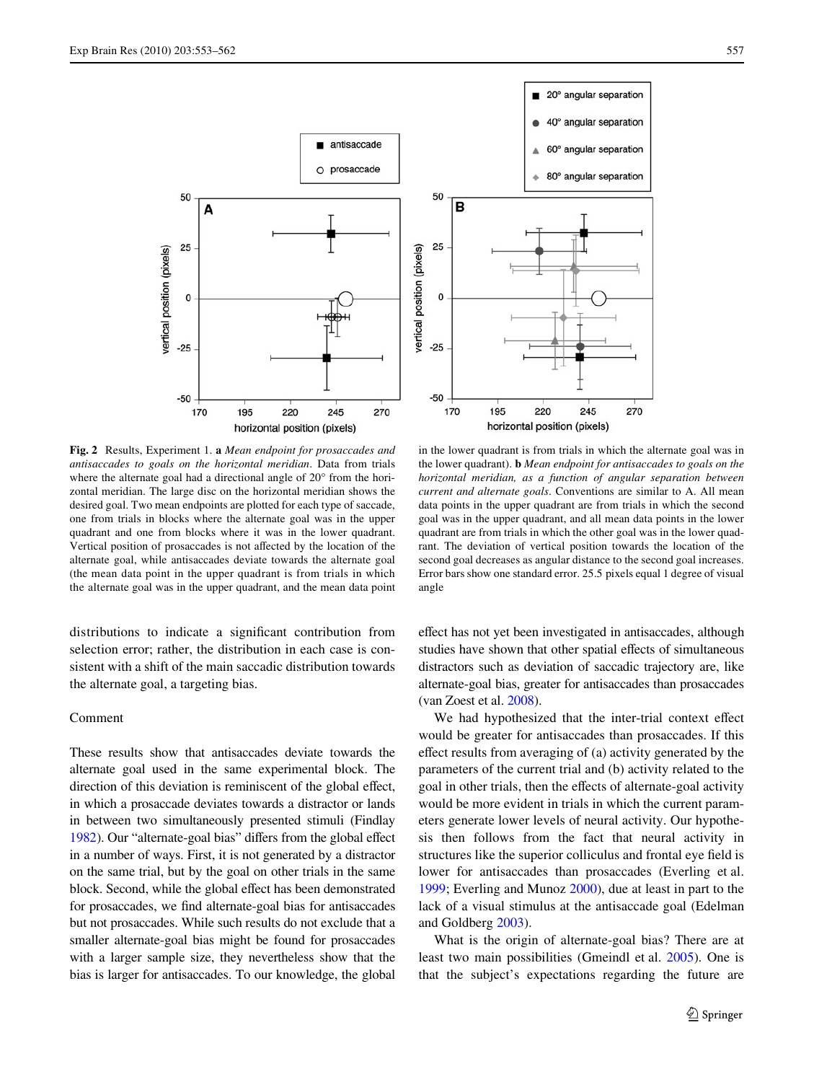

<span id="page-4-0"></span>**Fig. 2** Results, Experiment 1. **a** *Mean endpoint for prosaccades and antisaccades to goals on the horizontal meridian*. Data from trials where the alternate goal had a directional angle of 20° from the horizontal meridian. The large disc on the horizontal meridian shows the desired goal. Two mean endpoints are plotted for each type of saccade, one from trials in blocks where the alternate goal was in the upper quadrant and one from blocks where it was in the lower quadrant. Vertical position of prosaccades is not affected by the location of the alternate goal, while antisaccades deviate towards the alternate goal (the mean data point in the upper quadrant is from trials in which the alternate goal was in the upper quadrant, and the mean data point

distributions to indicate a significant contribution from selection error; rather, the distribution in each case is consistent with a shift of the main saccadic distribution towards the alternate goal, a targeting bias.

## Comment

These results show that antisaccades deviate towards the alternate goal used in the same experimental block. The direction of this deviation is reminiscent of the global effect, in which a prosaccade deviates towards a distractor or lands in between two simultaneously presented stimuli (Findlay [1982\)](#page-9-15). Our "alternate-goal bias" differs from the global effect in a number of ways. First, it is not generated by a distractor on the same trial, but by the goal on other trials in the same block. Second, while the global effect has been demonstrated for prosaccades, we find alternate-goal bias for antisaccades but not prosaccades. While such results do not exclude that a smaller alternate-goal bias might be found for prosaccades with a larger sample size, they nevertheless show that the bias is larger for antisaccades. To our knowledge, the global



in the lower quadrant is from trials in which the alternate goal was in the lower quadrant). **b** *Mean endpoint for antisaccades to goals on the horizontal meridian, as a function of angular separation between current and alternate goals*. Conventions are similar to A. All mean data points in the upper quadrant are from trials in which the second goal was in the upper quadrant, and all mean data points in the lower quadrant are from trials in which the other goal was in the lower quadrant. The deviation of vertical position towards the location of the second goal decreases as angular distance to the second goal increases. Error bars show one standard error. 25.5 pixels equal 1 degree of visual angle

effect has not yet been investigated in antisaccades, although studies have shown that other spatial effects of simultaneous distractors such as deviation of saccadic trajectory are, like alternate-goal bias, greater for antisaccades than prosaccades (van Zoest et al. [2008\)](#page-9-27).

We had hypothesized that the inter-trial context effect would be greater for antisaccades than prosaccades. If this effect results from averaging of  $(a)$  activity generated by the parameters of the current trial and (b) activity related to the goal in other trials, then the effects of alternate-goal activity would be more evident in trials in which the current parameters generate lower levels of neural activity. Our hypothesis then follows from the fact that neural activity in structures like the superior colliculus and frontal eye field is lower for antisaccades than prosaccades (Everling et al. [1999](#page-9-19); Everling and Munoz [2000\)](#page-9-12), due at least in part to the lack of a visual stimulus at the antisaccade goal (Edelman and Goldberg [2003](#page-9-28)).

What is the origin of alternate-goal bias? There are at least two main possibilities (Gmeindl et al. [2005\)](#page-9-29). One is that the subject's expectations regarding the future are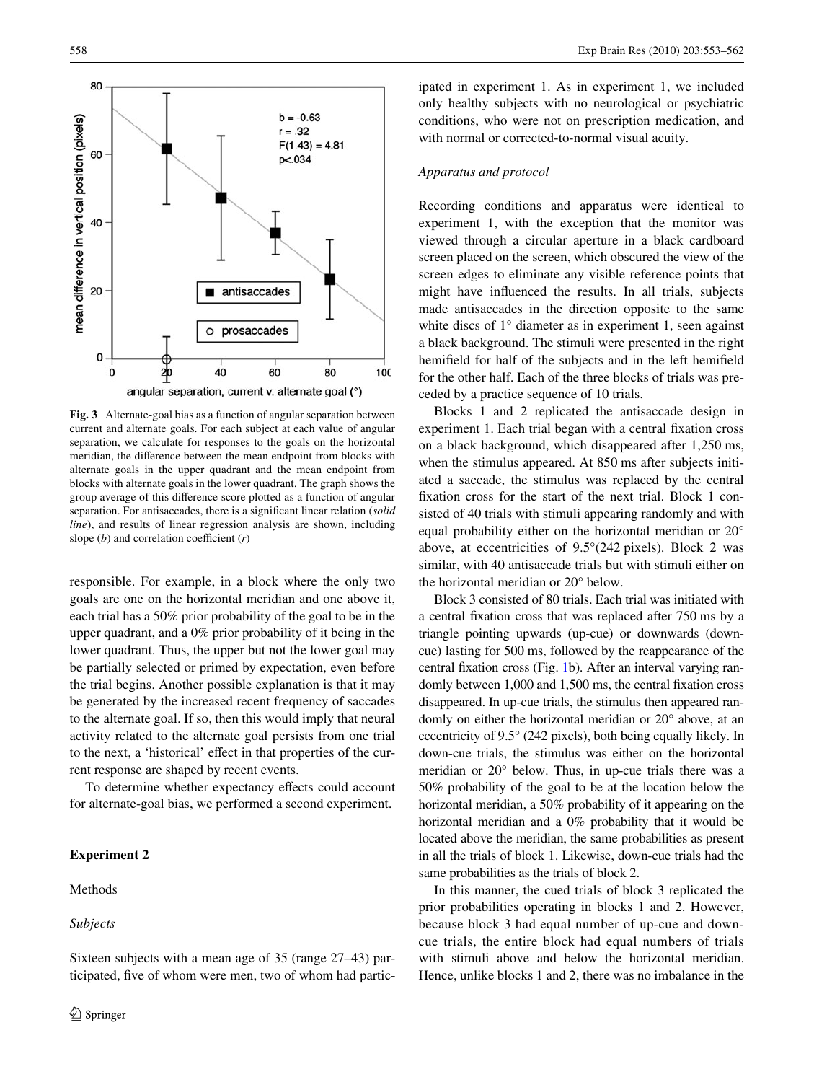

<span id="page-5-0"></span>**Fig. 3** Alternate-goal bias as a function of angular separation between current and alternate goals. For each subject at each value of angular separation, we calculate for responses to the goals on the horizontal meridian, the difference between the mean endpoint from blocks with alternate goals in the upper quadrant and the mean endpoint from blocks with alternate goals in the lower quadrant. The graph shows the group average of this difference score plotted as a function of angular separation. For antisaccades, there is a significant linear relation (*solid line*), and results of linear regression analysis are shown, including slope  $(b)$  and correlation coefficient  $(r)$ 

responsible. For example, in a block where the only two goals are one on the horizontal meridian and one above it, each trial has a 50% prior probability of the goal to be in the upper quadrant, and a 0% prior probability of it being in the lower quadrant. Thus, the upper but not the lower goal may be partially selected or primed by expectation, even before the trial begins. Another possible explanation is that it may be generated by the increased recent frequency of saccades to the alternate goal. If so, then this would imply that neural activity related to the alternate goal persists from one trial to the next, a 'historical' effect in that properties of the current response are shaped by recent events.

To determine whether expectancy effects could account for alternate-goal bias, we performed a second experiment.

## **Experiment 2**

## Methods

*Subjects*

ipated in experiment 1. As in experiment 1, we included only healthy subjects with no neurological or psychiatric conditions, who were not on prescription medication, and with normal or corrected-to-normal visual acuity.

# *Apparatus and protocol*

Recording conditions and apparatus were identical to experiment 1, with the exception that the monitor was viewed through a circular aperture in a black cardboard screen placed on the screen, which obscured the view of the screen edges to eliminate any visible reference points that might have influenced the results. In all trials, subjects made antisaccades in the direction opposite to the same white discs of 1° diameter as in experiment 1, seen against a black background. The stimuli were presented in the right hemifield for half of the subjects and in the left hemifield for the other half. Each of the three blocks of trials was preceded by a practice sequence of 10 trials.

Blocks 1 and 2 replicated the antisaccade design in experiment 1. Each trial began with a central fixation cross on a black background, which disappeared after 1,250 ms, when the stimulus appeared. At 850 ms after subjects initiated a saccade, the stimulus was replaced by the central fixation cross for the start of the next trial. Block 1 consisted of 40 trials with stimuli appearing randomly and with equal probability either on the horizontal meridian or 20° above, at eccentricities of 9.5°(242 pixels). Block 2 was similar, with 40 antisaccade trials but with stimuli either on the horizontal meridian or 20° below.

Block 3 consisted of 80 trials. Each trial was initiated with a central fixation cross that was replaced after 750 ms by a triangle pointing upwards (up-cue) or downwards (downcue) lasting for 500 ms, followed by the reappearance of the central fixation cross (Fig. [1b](#page-2-0)). After an interval varying randomly between  $1,000$  and  $1,500$  ms, the central fixation cross disappeared. In up-cue trials, the stimulus then appeared randomly on either the horizontal meridian or 20° above, at an eccentricity of 9.5° (242 pixels), both being equally likely. In down-cue trials, the stimulus was either on the horizontal meridian or 20° below. Thus, in up-cue trials there was a 50% probability of the goal to be at the location below the horizontal meridian, a 50% probability of it appearing on the horizontal meridian and a 0% probability that it would be located above the meridian, the same probabilities as present in all the trials of block 1. Likewise, down-cue trials had the same probabilities as the trials of block 2.

In this manner, the cued trials of block 3 replicated the prior probabilities operating in blocks 1 and 2. However, because block 3 had equal number of up-cue and downcue trials, the entire block had equal numbers of trials with stimuli above and below the horizontal meridian. Hence, unlike blocks 1 and 2, there was no imbalance in the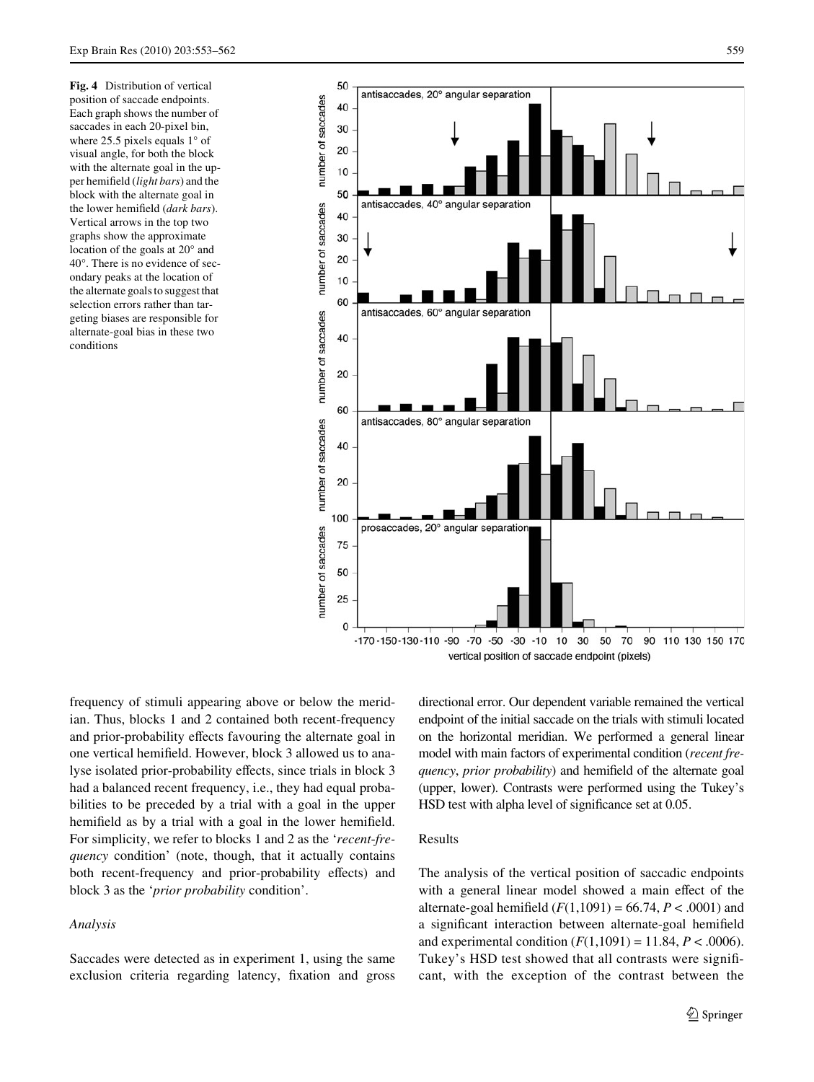<span id="page-6-0"></span>**Fig. 4** Distribution of vertical position of saccade endpoints. Each graph shows the number of saccades in each 20-pixel bin, where 25.5 pixels equals 1° of visual angle, for both the block with the alternate goal in the upper hemifield (*light bars*) and the block with the alternate goal in the lower hemifield (*dark bars*). Vertical arrows in the top two graphs show the approximate location of the goals at 20° and 40°. There is no evidence of secondary peaks at the location of the alternate goals to suggest that selection errors rather than targeting biases are responsible for alternate-goal bias in these two conditions



frequency of stimuli appearing above or below the meridian. Thus, blocks 1 and 2 contained both recent-frequency and prior-probability effects favouring the alternate goal in one vertical hemifield. However, block 3 allowed us to analyse isolated prior-probability effects, since trials in block 3 had a balanced recent frequency, i.e., they had equal probabilities to be preceded by a trial with a goal in the upper hemifield as by a trial with a goal in the lower hemifield. For simplicity, we refer to blocks 1 and 2 as the '*recent*-*frequency* condition' (note, though, that it actually contains both recent-frequency and prior-probability effects) and block 3 as the '*prior probability* condition'.

## *Analysis*

Saccades were detected as in experiment 1, using the same exclusion criteria regarding latency, fixation and gross

directional error. Our dependent variable remained the vertical endpoint of the initial saccade on the trials with stimuli located on the horizontal meridian. We performed a general linear model with main factors of experimental condition (*recent frequency, prior probability*) and hemifield of the alternate goal (upper, lower). Contrasts were performed using the Tukey's HSD test with alpha level of significance set at 0.05.

## Results

The analysis of the vertical position of saccadic endpoints with a general linear model showed a main effect of the alternate-goal hemifield  $(F(1,1091) = 66.74, P < .0001)$  and a significant interaction between alternate-goal hemifield and experimental condition  $(F(1,1091) = 11.84, P < .0006)$ . Tukey's HSD test showed that all contrasts were significant, with the exception of the contrast between the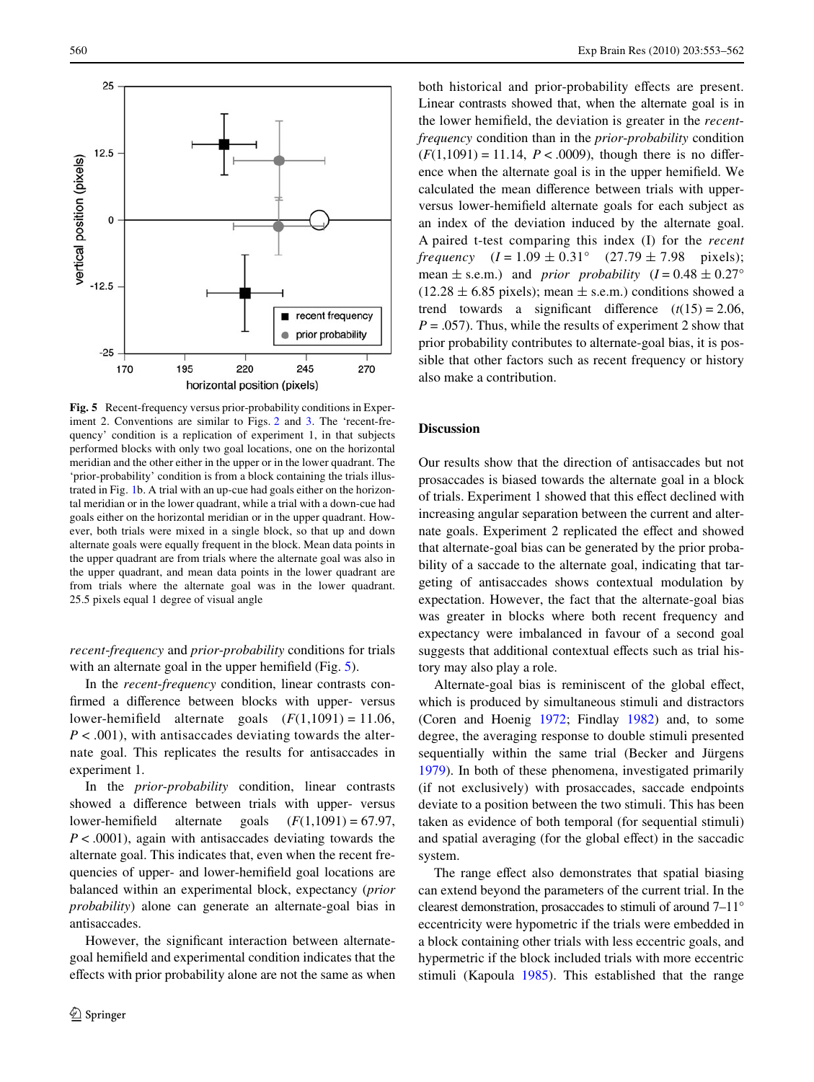

<span id="page-7-0"></span>**Fig. 5** Recent-frequency versus prior-probability conditions in Exper-iment 2. Conventions are similar to Figs. [2](#page-4-0) and [3](#page-5-0). The 'recent-frequency' condition is a replication of experiment 1, in that subjects performed blocks with only two goal locations, one on the horizontal meridian and the other either in the upper or in the lower quadrant. The 'prior-probability' condition is from a block containing the trials illustrated in Fig. [1](#page-2-0)b. A trial with an up-cue had goals either on the horizontal meridian or in the lower quadrant, while a trial with a down-cue had goals either on the horizontal meridian or in the upper quadrant. However, both trials were mixed in a single block, so that up and down alternate goals were equally frequent in the block. Mean data points in the upper quadrant are from trials where the alternate goal was also in the upper quadrant, and mean data points in the lower quadrant are from trials where the alternate goal was in the lower quadrant. 25.5 pixels equal 1 degree of visual angle

*recent*-*frequency* and *prior*-*probability* conditions for trials with an alternate goal in the upper hemifield (Fig.  $5$ ).

In the *recent*-*frequency* condition, linear contrasts confirmed a difference between blocks with upper- versus lower-hemifield alternate goals  $(F(1,1091) = 11.06)$ , *P* < .001), with antisaccades deviating towards the alternate goal. This replicates the results for antisaccades in experiment 1.

In the *prior*-*probability* condition, linear contrasts showed a difference between trials with upper- versus lower-hemifield alternate goals  $(F(1,1091) = 67.97)$ , *P* < .0001), again with antisaccades deviating towards the alternate goal. This indicates that, even when the recent frequencies of upper- and lower-hemifield goal locations are balanced within an experimental block, expectancy (*prior probability*) alone can generate an alternate-goal bias in antisaccades.

However, the significant interaction between alternategoal hemifield and experimental condition indicates that the effects with prior probability alone are not the same as when both historical and prior-probability effects are present. Linear contrasts showed that, when the alternate goal is in the lower hemifield, the deviation is greater in the *recentfrequency* condition than in the *prior*-*probability* condition  $(F(1,1091) = 11.14, P < .0009)$ , though there is no difference when the alternate goal is in the upper hemifield. We calculated the mean difference between trials with upperversus lower-hemifield alternate goals for each subject as an index of the deviation induced by the alternate goal. A paired t-test comparing this index (I) for the *recent frequency*  $(I = 1.09 \pm 0.31^{\circ}$   $(27.79 \pm 7.98$  pixels); mean  $\pm$  s.e.m.) and *prior probability*  $(I = 0.48 \pm 0.27^{\circ})$  $(12.28 \pm 6.85 \text{ pixels})$ ; mean  $\pm$  s.e.m.) conditions showed a trend towards a significant difference  $(t(15) = 2.06$ ,  $P = .057$ ). Thus, while the results of experiment 2 show that prior probability contributes to alternate-goal bias, it is possible that other factors such as recent frequency or history also make a contribution.

#### **Discussion**

Our results show that the direction of antisaccades but not prosaccades is biased towards the alternate goal in a block of trials. Experiment 1 showed that this effect declined with increasing angular separation between the current and alternate goals. Experiment 2 replicated the effect and showed that alternate-goal bias can be generated by the prior probability of a saccade to the alternate goal, indicating that targeting of antisaccades shows contextual modulation by expectation. However, the fact that the alternate-goal bias was greater in blocks where both recent frequency and expectancy were imbalanced in favour of a second goal suggests that additional contextual effects such as trial history may also play a role.

Alternate-goal bias is reminiscent of the global effect, which is produced by simultaneous stimuli and distractors (Coren and Hoenig [1972](#page-9-30); Findlay [1982\)](#page-9-15) and, to some degree, the averaging response to double stimuli presented sequentially within the same trial (Becker and Jürgens [1979](#page-9-31)). In both of these phenomena, investigated primarily (if not exclusively) with prosaccades, saccade endpoints deviate to a position between the two stimuli. This has been taken as evidence of both temporal (for sequential stimuli) and spatial averaging (for the global effect) in the saccadic system.

The range effect also demonstrates that spatial biasing can extend beyond the parameters of the current trial. In the clearest demonstration, prosaccades to stimuli of around 7–11° eccentricity were hypometric if the trials were embedded in a block containing other trials with less eccentric goals, and hypermetric if the block included trials with more eccentric stimuli (Kapoula [1985](#page-9-18)). This established that the range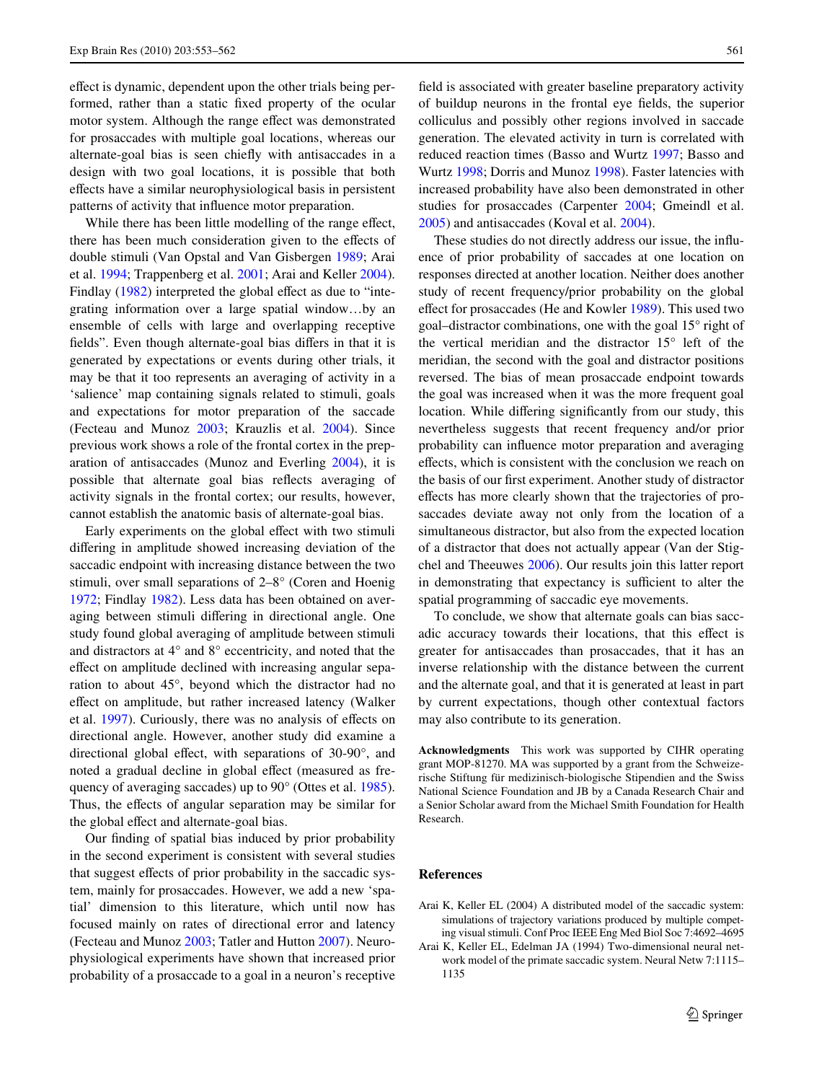effect is dynamic, dependent upon the other trials being performed, rather than a static fixed property of the ocular motor system. Although the range effect was demonstrated for prosaccades with multiple goal locations, whereas our alternate-goal bias is seen chiefly with antisaccades in a design with two goal locations, it is possible that both effects have a similar neurophysiological basis in persistent patterns of activity that influence motor preparation.

While there has been little modelling of the range effect, there has been much consideration given to the effects of double stimuli (Van Opstal and Van Gisbergen [1989;](#page-9-32) Arai et al. [1994;](#page-8-0) Trappenberg et al. [2001;](#page-9-33) Arai and Keller [2004](#page-8-1)). Findlay  $(1982)$  $(1982)$  interpreted the global effect as due to "integrating information over a large spatial window…by an ensemble of cells with large and overlapping receptive fields". Even though alternate-goal bias differs in that it is generated by expectations or events during other trials, it may be that it too represents an averaging of activity in a 'salience' map containing signals related to stimuli, goals and expectations for motor preparation of the saccade (Fecteau and Munoz [2003](#page-9-0); Krauzlis et al. [2004\)](#page-9-34). Since previous work shows a role of the frontal cortex in the preparation of antisaccades (Munoz and Everling [2004\)](#page-9-35), it is possible that alternate goal bias reflects averaging of activity signals in the frontal cortex; our results, however, cannot establish the anatomic basis of alternate-goal bias.

Early experiments on the global effect with two stimuli differing in amplitude showed increasing deviation of the saccadic endpoint with increasing distance between the two stimuli, over small separations of 2–8° (Coren and Hoenig [1972](#page-9-30); Findlay [1982](#page-9-15)). Less data has been obtained on averaging between stimuli differing in directional angle. One study found global averaging of amplitude between stimuli and distractors at 4° and 8° eccentricity, and noted that the effect on amplitude declined with increasing angular separation to about 45°, beyond which the distractor had no effect on amplitude, but rather increased latency (Walker et al. [1997\)](#page-9-14). Curiously, there was no analysis of effects on directional angle. However, another study did examine a directional global effect, with separations of  $30-90^\circ$ , and noted a gradual decline in global effect (measured as frequency of averaging saccades) up to 90° (Ottes et al. [1985](#page-9-24)). Thus, the effects of angular separation may be similar for the global effect and alternate-goal bias.

Our finding of spatial bias induced by prior probability in the second experiment is consistent with several studies that suggest effects of prior probability in the saccadic system, mainly for prosaccades. However, we add a new 'spatial' dimension to this literature, which until now has focused mainly on rates of directional error and latency (Fecteau and Munoz [2003;](#page-9-0) Tatler and Hutton [2007\)](#page-9-1). Neurophysiological experiments have shown that increased prior probability of a prosaccade to a goal in a neuron's receptive

field is associated with greater baseline preparatory activity of buildup neurons in the frontal eye fields, the superior colliculus and possibly other regions involved in saccade generation. The elevated activity in turn is correlated with reduced reaction times (Basso and Wurtz [1997;](#page-9-36) Basso and Wurtz [1998;](#page-9-11) Dorris and Munoz [1998](#page-9-37)). Faster latencies with increased probability have also been demonstrated in other studies for prosaccades (Carpenter [2004;](#page-9-38) Gmeindl et al. [2005](#page-9-29)) and antisaccades (Koval et al. [2004\)](#page-9-39).

These studies do not directly address our issue, the influence of prior probability of saccades at one location on responses directed at another location. Neither does another study of recent frequency/prior probability on the global effect for prosaccades (He and Kowler [1989\)](#page-9-40). This used two goal–distractor combinations, one with the goal 15° right of the vertical meridian and the distractor 15° left of the meridian, the second with the goal and distractor positions reversed. The bias of mean prosaccade endpoint towards the goal was increased when it was the more frequent goal location. While differing significantly from our study, this nevertheless suggests that recent frequency and/or prior probability can influence motor preparation and averaging effects, which is consistent with the conclusion we reach on the basis of our first experiment. Another study of distractor effects has more clearly shown that the trajectories of prosaccades deviate away not only from the location of a simultaneous distractor, but also from the expected location of a distractor that does not actually appear (Van der Stigchel and Theeuwes [2006\)](#page-9-41). Our results join this latter report in demonstrating that expectancy is sufficient to alter the spatial programming of saccadic eye movements.

To conclude, we show that alternate goals can bias saccadic accuracy towards their locations, that this effect is greater for antisaccades than prosaccades, that it has an inverse relationship with the distance between the current and the alternate goal, and that it is generated at least in part by current expectations, though other contextual factors may also contribute to its generation.

**Acknowledgments** This work was supported by CIHR operating grant MOP-81270. MA was supported by a grant from the Schweizerische Stiftung für medizinisch-biologische Stipendien and the Swiss National Science Foundation and JB by a Canada Research Chair and a Senior Scholar award from the Michael Smith Foundation for Health Research.

#### **References**

- <span id="page-8-1"></span>Arai K, Keller EL (2004) A distributed model of the saccadic system: simulations of trajectory variations produced by multiple competing visual stimuli. Conf Proc IEEE Eng Med Biol Soc 7:4692–4695
- <span id="page-8-0"></span>Arai K, Keller EL, Edelman JA (1994) Two-dimensional neural network model of the primate saccadic system. Neural Netw 7:1115– 1135